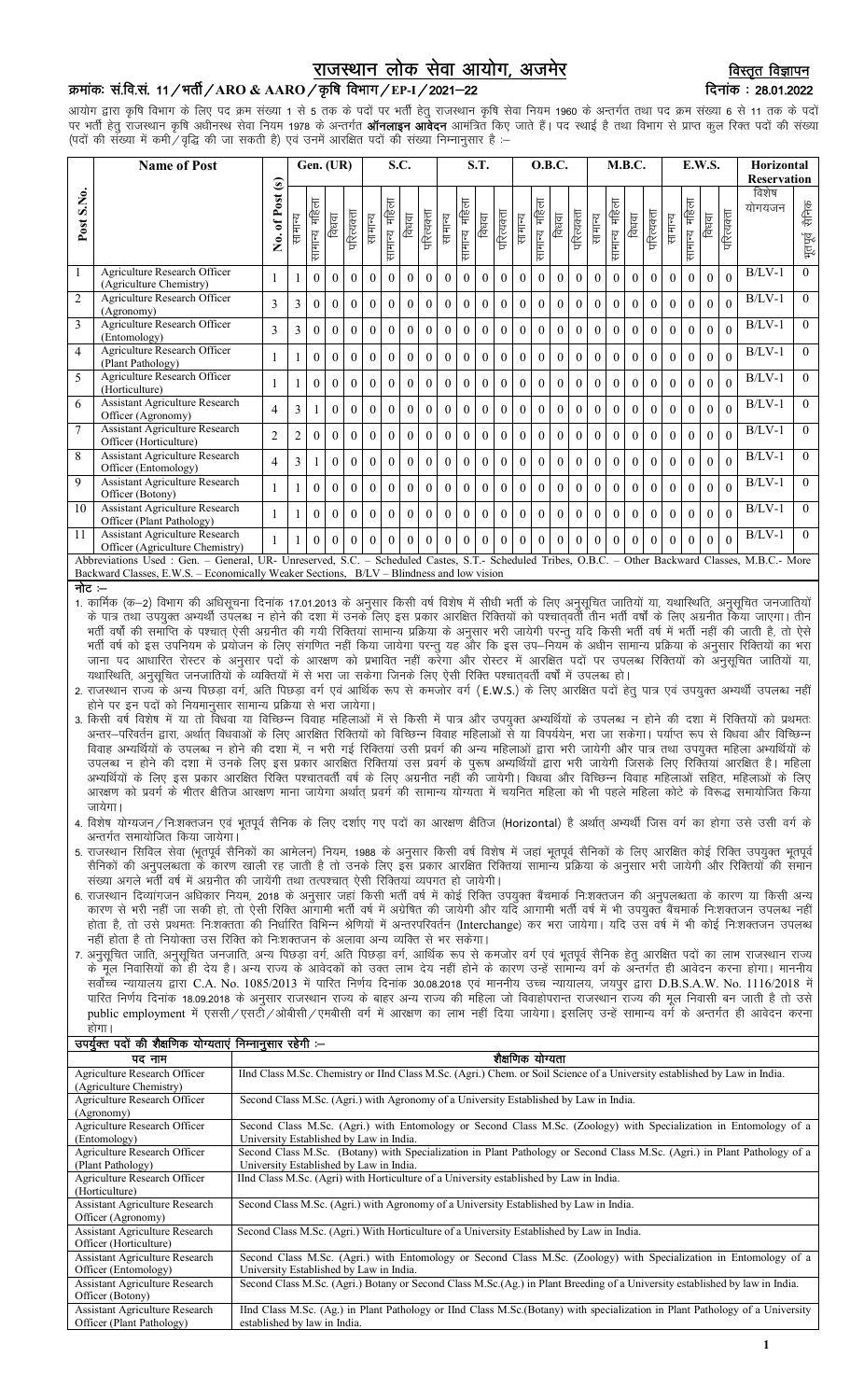# राजस्थान लोक सेवा आयोग, अजमेर

## क्रमांक: सं.वि.सं. 11 / भर्ती / ARO & AARO / कृषि विभाग / EP-I / 2021–22

आयोग द्वारा कृषि विभाग के लिए पद क्रम संख्या 1 से 5 तक के पदों पर भर्ती हेतु राजस्थान कृषि सेवा नियम 1960 के अन्तर्गत तथा पद क्रम संख्या 6 से 11 तक के पदों पर भर्ती हेतु राजस्थान कृषि अधीनस्थ सेवा नियम 1978 के अन्तर्गत **ऑनलाइन आवेदन** आमंत्रित किए जाते हैं। पद स्थाई है तथा विभाग से प्राप्त कुल रिक्त पदों की संख्या (पदों की संख्या में कमी / वृद्धि की जा सकती है) एवं उनमें आरक्षित पदों की संख्या निम्नानूसार हैं

|                                                                                                                                                     | <b>Name of Post</b>                                                                      |                   |                |                  | Gen. (UR) |            | S.C.     |                  |          |              | S.T.     |               |          |            | O.B.C.       |                  |          |            | M.B.C.   |               |          |            | E.W.S.   |                  |          |                    | <b>Horizontal</b> |                   |
|-----------------------------------------------------------------------------------------------------------------------------------------------------|------------------------------------------------------------------------------------------|-------------------|----------------|------------------|-----------|------------|----------|------------------|----------|--------------|----------|---------------|----------|------------|--------------|------------------|----------|------------|----------|---------------|----------|------------|----------|------------------|----------|--------------------|-------------------|-------------------|
|                                                                                                                                                     |                                                                                          |                   |                |                  |           |            |          |                  |          |              |          |               |          |            |              |                  |          |            |          |               |          |            |          |                  |          | <b>Reservation</b> |                   |                   |
| Post S.No.                                                                                                                                          |                                                                                          | of Post (s)<br>Ż. | सामान्य        | महिला<br>सामान्य | विधवा     | परित्यक्ता | सामान्य  | महिला<br>सामान्य | विधवा    | परित्यक्ता   | सामान्य  | सामान्य महिला | विधवा    | परित्यक्ता | सामान्य      | महिला<br>सामान्य | विधवा    | गरित्यक्ता | सामान्य  | सामान्य महिला | विधवा    | परित्यक्ता | सामान्य  | महिला<br>सामान्य | विधवा    | गरित्यक्ता         | विशेष<br>योगयजन   | सेनिक<br>भूतपूर्व |
| $\overline{1}$                                                                                                                                      | Agriculture Research Officer<br>(Agriculture Chemistry)                                  |                   |                | $\Omega$         | $\Omega$  | $\Omega$   | $\Omega$ | $\Omega$         | $\Omega$ | $\theta$     | $\theta$ | $\theta$      | $\theta$ | $\theta$   | $\theta$     | $\theta$         | $\theta$ | $\theta$   | $\theta$ | $\Omega$      | $\Omega$ | $\Omega$   | $\theta$ | 0                | $\Omega$ | $\Omega$           | $B/LV-1$          | $\theta$          |
| $\overline{2}$                                                                                                                                      | <b>Agriculture Research Officer</b><br>(Agronomy)                                        | 3                 | 3              | $\overline{0}$   | $\Omega$  | $\theta$   | $\theta$ | $\overline{0}$   | $\theta$ | $\Omega$     | $\theta$ | $\theta$      | $\theta$ | $\theta$   | $\mathbf{0}$ | $\overline{0}$   | $\theta$ | $\theta$   | $\theta$ | $\theta$      | $\Omega$ | $\Omega$   | $\theta$ | $\theta$         | $\theta$ | $\Omega$           | $B/LV-1$          | $\theta$          |
| 3                                                                                                                                                   | Agriculture Research Officer<br>(Entomology)                                             | 3                 | 3              | $\Omega$         | $\Omega$  | $\theta$   | $\theta$ | $\theta$         | $\theta$ | $\theta$     | $\Omega$ | $\Omega$      | $\theta$ | $\theta$   | $\theta$     | $\theta$         | $\theta$ | $\Omega$   | $\theta$ | $\Omega$      | $\theta$ | $\Omega$   | $\theta$ | $\Omega$         | $\Omega$ | $\Omega$           | $B/LV-1$          | $\theta$          |
| $\overline{4}$                                                                                                                                      | Agriculture Research Officer<br>(Plant Pathology)                                        |                   |                | $\theta$         | $\Omega$  | $\theta$   | $\theta$ | $\Omega$         | $\theta$ | $\Omega$     | $\Omega$ | $\Omega$      | $\Omega$ | $\Omega$   | $\theta$     | $\theta$         | $\theta$ | $\Omega$   | $\Omega$ | $\Omega$      | $\theta$ | $\Omega$   | $\theta$ | $\Omega$         | $\Omega$ |                    | $B/LV-1$          | $\Omega$          |
| $\overline{5}$                                                                                                                                      | Agriculture Research Officer<br>(Horticulture)                                           |                   |                | $\theta$         | $\theta$  | $\theta$   | $\theta$ | $\overline{0}$   | $\theta$ | $\mathbf{0}$ | $\Omega$ | $\theta$      | $\Omega$ | $\theta$   | $\mathbf{0}$ | $\overline{0}$   | $\theta$ | $\theta$   | $\theta$ | $\theta$      | $\Omega$ | $\theta$   | $\theta$ | $\theta$         | $\Omega$ | $\Omega$           | $B/LV-1$          | $\Omega$          |
| 6                                                                                                                                                   | <b>Assistant Agriculture Research</b><br>Officer (Agronomy)                              | $\overline{4}$    | 3              |                  | $\theta$  | $\theta$   | $\theta$ | $\theta$         | $\theta$ | $\Omega$     | $\theta$ | $\theta$      | $\theta$ | $\theta$   | $\theta$     | $\Omega$         | $\theta$ | $\theta$   | $\theta$ | $\theta$      | $\theta$ | $\theta$   | $\theta$ | $\theta$         | $\theta$ | $\Omega$           | $B/LV-1$          | $\theta$          |
| $7\phantom{.0}$                                                                                                                                     | <b>Assistant Agriculture Research</b><br>Officer (Horticulture)                          | $\overline{2}$    | $\overline{c}$ | $\overline{0}$   | $\Omega$  | $\theta$   | $\theta$ | $\overline{0}$   | $\theta$ | $\Omega$     | $\theta$ | $\theta$      | $\theta$ | $\theta$   | $\mathbf{0}$ | $\overline{0}$   | $\theta$ | $\theta$   | $\Omega$ | $\theta$      | $\theta$ | $\Omega$   | $\theta$ | $\theta$         | $\theta$ | $\Omega$           | $B/LV-1$          | $\Omega$          |
| 8                                                                                                                                                   | <b>Assistant Agriculture Research</b><br>Officer (Entomology)                            | $\overline{4}$    | 3              |                  | $\Omega$  | $\Omega$   | $\Omega$ | $\theta$         | $\Omega$ | $\Omega$     | $\Omega$ | $\Omega$      | $\Omega$ | $\Omega$   | $\theta$     | $\Omega$         | $\theta$ | $\Omega$   | $\Omega$ | $\Omega$      | $\Omega$ | $\Omega$   | $\theta$ | 0                | $\Omega$ | $\Omega$           | $B/LV-1$          | $\Omega$          |
| 9                                                                                                                                                   | <b>Assistant Agriculture Research</b><br>Officer (Botony)                                |                   |                | $\overline{0}$   | $\Omega$  | $\theta$   | $\theta$ | $\overline{0}$   | $\theta$ | $\theta$     | $\theta$ | $\Omega$      | $\theta$ | $\theta$   | $\mathbf{0}$ | $\overline{0}$   | $\theta$ | $\theta$   | $\theta$ | $\theta$      | $\Omega$ | $\Omega$   | $\theta$ | $\theta$         | $\theta$ |                    | $B/LV-1$          | $\Omega$          |
| 10                                                                                                                                                  | <b>Assistant Agriculture Research</b><br>Officer (Plant Pathology)                       |                   |                | $\theta$         | $\theta$  | $\theta$   | $\theta$ | $\theta$         | $\theta$ | $\Omega$     | $\theta$ | $\theta$      | $\theta$ | $\theta$   | $\theta$     | $\theta$         | $\theta$ | $\theta$   | $\theta$ | $\Omega$      | $\Omega$ | $\theta$   | $\theta$ | $\theta$         | $\Omega$ | $\Omega$           | $B/LV-1$          | $\Omega$          |
| 11                                                                                                                                                  | <b>Assistant Agriculture Research</b><br>Officer (Agriculture Chemistry)                 |                   |                | $\Omega$         | $\Omega$  | $\theta$   | $\theta$ | $\theta$         | $\theta$ | $\Omega$     | $\theta$ | $\Omega$      | $\theta$ | $\theta$   | $\theta$     | $\Omega$         | $\theta$ | $\theta$   | $\theta$ | $\Omega$      | $\Omega$ | $\Omega$   | $\theta$ | $\Omega$         | $\theta$ | $\Omega$           | $B/LV-1$          | $\theta$          |
| Abbreviations Used : Gen. - General, UR- Unreserved, S.C. - Scheduled Castes, S.T.- Scheduled Tribes, O.B.C. - Other Backward Classes, M.B.C.- More |                                                                                          |                   |                |                  |           |            |          |                  |          |              |          |               |          |            |              |                  |          |            |          |               |          |            |          |                  |          |                    |                   |                   |
|                                                                                                                                                     | Backward Classes, E.W.S. – Economically Weaker Sections, B/LV – Blindness and low vision |                   |                |                  |           |            |          |                  |          |              |          |               |          |            |              |                  |          |            |          |               |          |            |          |                  |          |                    |                   |                   |
| नोट $=$                                                                                                                                             |                                                                                          |                   |                |                  |           |            |          |                  |          |              |          |               |          |            |              |                  |          |            |          |               |          |            |          |                  |          |                    |                   |                   |

.. -<br>1. कार्मिक (क—2) विभाग की अधिसूचना दिनांक 17.01.2013 के अनुसार किसी वर्ष विशेष में सीधी भर्ती के लिए अनुसूचित जातियों<br>के पात्र तथा उपयुक्त अभ्यर्थी उपलब्ध न होने की दशा में उनके लिए इस प्रकार आरक्षित रिक्तियों को पश् क गत्र तथा उनकुक संचार राज्य में राज्य राज्य राज्य राज्य राज्य संघार मालना माला माला माला माला की पहले माला की<br>भर्ती वर्षों की समाप्ति के पश्चात् ऐसी अग्रनीत की गयी रिक्तियां सामान्य प्रक्रिया के अनुसार भरी पत्नी पत्नी मह जाना पद आधारित रोस्टर के अनुसार पदों के आरक्षण को प्रभावित नहीं करेगा और रोस्टर में आरक्षित पदों पर उपलब्ध रिक्तियों को अनुसूचित जातियों या, यथास्थिति, अनुसूचित जनजातियों के व्यक्तियों में से भरा जा सकेगा जिनके लिए ऐसी रिक्ति पश्चातवर्ती वर्षों में उपलब्ध हो।

- 2. राजस्थान राज्य के अन्य पिछड़ा वर्ग, अति पिछड़ा वर्ग एवं आर्थिक रूप से कमजोर वर्ग (E.W.S.) के लिए आरक्षित पदों हेतु पात्र एवं उपयुक्त अभ्यर्थी उपलब्ध नहीं होने पर इन पदों को नियमानुसार सामान्य प्रक्रिया से भरा जायेगा।
- 3. किसी वर्ष विशेष में या तो विधवा या विच्छिन्न विवाह महिलाओं में से किसी में पात्र और उपयुक्त अभ्यर्थियों के उपलब्ध न होने की दशा में रिक्तियों को प्रथमतः अन्तर–परिवर्तन द्वारा, अर्थात विधवाओं के लिए आरक्षित रिक्तियों को विच्छिन्न विवाह महिलाओं से या विपर्ययेन, भरा जा सकेगा। पर्याप्त रूप से विधवा और विच्छिन्न .<br>विवाह अभ्यर्थियों के उपलब्ध न होने की दशा में, न भरी गई रिक्तियां उसी प्रवर्ग की अन्य महिलाओं द्वारा भरी जायेगी और पात्र तथा उपयुक्त महिला अभ्यर्थियों के उपलब्ध न होने की दशा में उनके लिए इस प्रकार आरक्षित रिक्तियां उस प्रवर्ग के पुरूष अभ्यर्थियों द्वारा भरी जायेगी जिसके लिए रिक्तियां आरक्षित है। महिला .<br>अभ्यर्थियों के लिए इस प्रकार आरक्षित रिक्ति पश्चातवर्ती वर्ष के लिए अग्रनीत नहीं की जायेगी। विधवा और विच्छिन्न विवाह महिलाओं सहित, महिलाओं के लिए आरक्षण को प्रवर्ग के भीतर क्षैतिज आरक्षण माना जायेगा अर्थात् प्रवर्ग की सामान्य योग्यता में चयनित महिला को भी पहले महिला कोटे के विरूद्ध समायोजित किया जायेगा।
- 4. विशेष योग्यजन ⁄ निःशक्तजन एवं भूतपूर्व सैनिक के लिए दर्शाए गए पदों का आरक्षण क्षैतिज (Horizontal) है अर्थात् अभ्यर्थी जिस वर्ग का होगा उसे उसी वर्ग के अन्तर्गत समायोजित किया जायेगा।
- अति सामा साविल सेवा (भूतपूर्व सैनिकों का आमेलन) नियम, 1988 के अनुसार किसी वर्ष विशेष में जहां भूतपूर्व सैनिकों के लिए आरक्षित कोई रिक्ति उपयुक्त भूतपूर्व सैनिकों की अनुपलब्धता के कारण खाली रह जाती है तो उनके लिए इस प्रकार आरक्षित रिक्तियां सामान्य प्रक्रिया के अनुसार भरी जायेगी और रिक्तियों की समान संख्या अगले भर्ती वर्ष में अग्रनीत की जायेंगी तथा तत्पश्चात् ऐसी रिक्तियां व्यपगत हो जायेगी।
- 6. राजस्थान दिव्यांगजन अधिकार नियम, 2018 के अनुसार जहां किसी भर्ती वर्ष में कोई रिक्ति उपयुक्त बैंचमार्क निःशक्तजन की अनुपलब्धता के कारण या किसी अन्य कारण से भरी नहीं जा सकी हो, तो ऐसी रिक्ति ऑगामी भर्ती वर्ष में अग्रेषित की जायेगी और यदि आगामी भर्ती वर्ष में भी उपयुक्त बैंचमार्क नि:शक्तजन उपलब्ध नहीं होता है, तो उसे प्रथमतः निःशक्तता की निर्धारित विभिन्न श्रेणियों में अन्तरपरिवर्तन (Interchange) कर भरा जायेगा। यदि उस वर्ष में भी कोई निःशक्तजन उपलब्ध नहीं होता है तो नियोक्ता उस रिक्ति को निःशक्तजन के अलावा अन्य व्यक्ति से भर सकेगा।
- 7. अनुसूचित जाति, अनुसूचित जनजाति, अन्य पिछड़ा वर्ग, अति पिछड़ा वर्ग, आर्थिक रूप से कमजोर वर्ग एवं भूतपूर्व सैनिक हेतु आरक्षित पदों का लाभ राजस्थान राज्य के मूल निवासियों को ही देय है। अन्य राज्य के आवेदकों को उक्त लाभ देय नहीं होने के कारण उन्हें सामान्य वर्ग के अन्तर्गत ही आवेदन करना होगा। माननीय सर्वोच्च न्यायालय द्वारा C.A. No. 1085/2013 में पारित निर्णय दिनांक 30.08.2018 एवं माननीय उच्च न्यायालय, जयपुर द्वारा D.B.S.A.W. No. 1116/2018 में पारित निर्णय दिनांक 18.09.2018 के अनुसार राजस्थान राज्य के बाहर अन्य राज्य की महिला जो विवाहोपरान्त राजस्थान राज्य की मूल निवासी बन जाती है तो उसे public employment में एससी/एसटी/ओबीसी/एमबीसी वर्ग में आरक्षण का लाभ नहीं दिया जायेगा। इसलिए उन्हें सामान्य वर्ग के अन्तर्गत ही आवेदन करना होगा।

| organ raj an sign are are money in the sense. |                                                                                                                               |
|-----------------------------------------------|-------------------------------------------------------------------------------------------------------------------------------|
| पद नाम                                        | शैक्षणिक योग्यता                                                                                                              |
| Agriculture Research Officer                  | IInd Class M.Sc. Chemistry or IInd Class M.Sc. (Agri.) Chem. or Soil Science of a University established by Law in India.     |
| (Agriculture Chemistry)                       |                                                                                                                               |
| Agriculture Research Officer                  | Second Class M.Sc. (Agri.) with Agronomy of a University Established by Law in India.                                         |
| (Agronomy)                                    |                                                                                                                               |
| Agriculture Research Officer                  | Second Class M.Sc. (Agri.) with Entomology or Second Class M.Sc. (Zoology) with Specialization in Entomology of a             |
| (Entomology)                                  | University Established by Law in India.                                                                                       |
| Agriculture Research Officer                  | Second Class M.Sc. (Botany) with Specialization in Plant Pathology or Second Class M.Sc. (Agri.) in Plant Pathology of a      |
| (Plant Pathology)                             | University Established by Law in India.                                                                                       |
| Agriculture Research Officer                  | IInd Class M.Sc. (Agri) with Horticulture of a University established by Law in India.                                        |
| (Horticulture)                                |                                                                                                                               |
| <b>Assistant Agriculture Research</b>         | Second Class M.Sc. (Agri.) with Agronomy of a University Established by Law in India.                                         |
| Officer (Agronomy)                            |                                                                                                                               |
| <b>Assistant Agriculture Research</b>         | Second Class M.Sc. (Agri.) With Horticulture of a University Established by Law in India.                                     |
| Officer (Horticulture)                        |                                                                                                                               |
| <b>Assistant Agriculture Research</b>         | Second Class M.Sc. (Agri.) with Entomology or Second Class M.Sc. (Zoology) with Specialization in Entomology of a             |
| Officer (Entomology)                          | University Established by Law in India.                                                                                       |
| <b>Assistant Agriculture Research</b>         | Second Class M.Sc. (Agri.) Botany or Second Class M.Sc.(Ag.) in Plant Breeding of a University established by law in India.   |
| Officer (Botony)                              |                                                                                                                               |
| <b>Assistant Agriculture Research</b>         | IInd Class M.Sc. (Ag.) in Plant Pathology or IInd Class M.Sc. (Botany) with specialization in Plant Pathology of a University |
| Officer (Plant Pathology)                     | established by law in India.                                                                                                  |

# विस्तुत विज्ञापन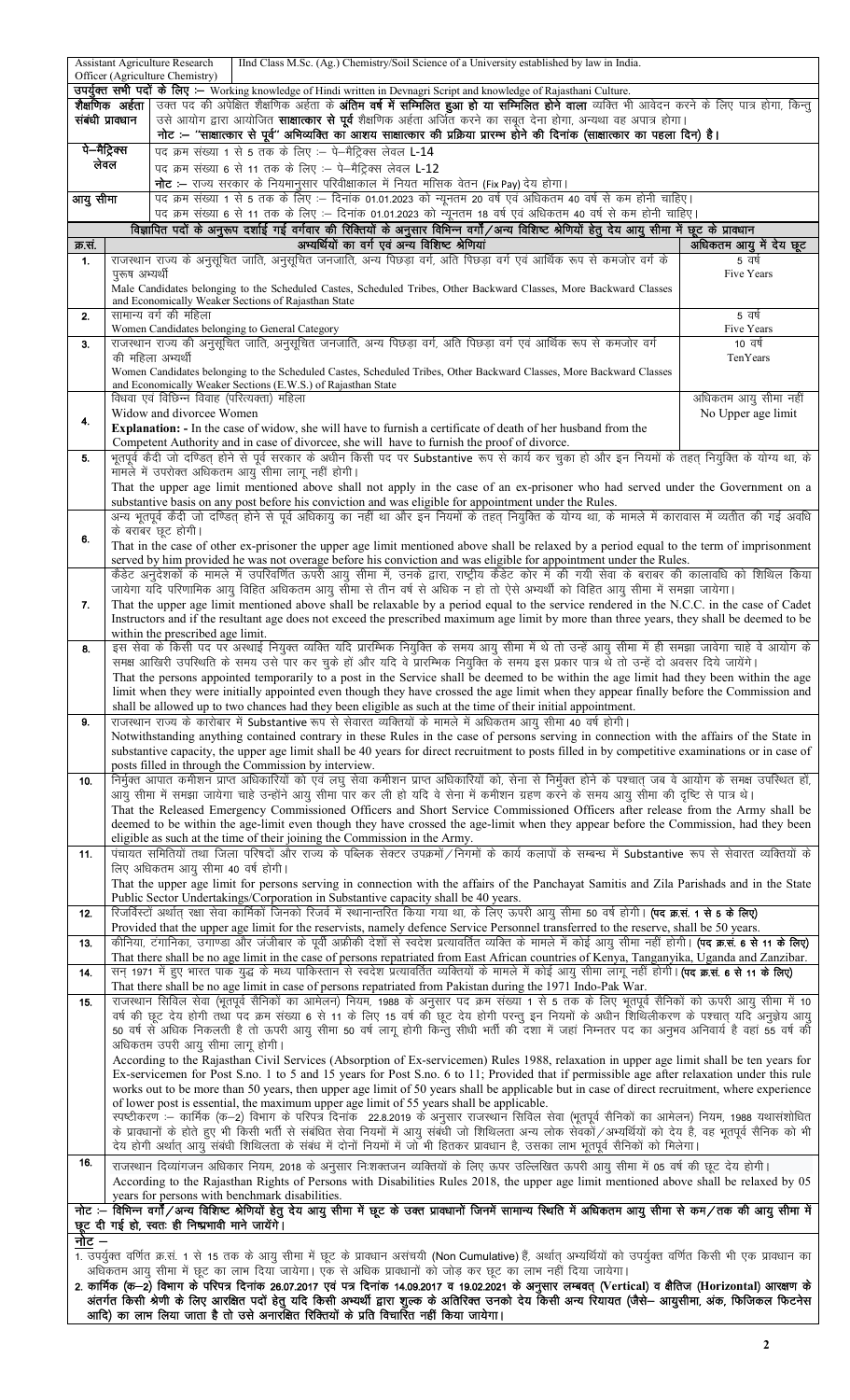|                                                                                                                                                                                                                                                                                    |                | <b>Assistant Agriculture Research</b><br>IInd Class M.Sc. (Ag.) Chemistry/Soil Science of a University established by law in India.<br>Officer (Agriculture Chemistry)                                                                                                                             |                                            |  |  |  |  |  |  |  |  |  |  |
|------------------------------------------------------------------------------------------------------------------------------------------------------------------------------------------------------------------------------------------------------------------------------------|----------------|----------------------------------------------------------------------------------------------------------------------------------------------------------------------------------------------------------------------------------------------------------------------------------------------------|--------------------------------------------|--|--|--|--|--|--|--|--|--|--|
|                                                                                                                                                                                                                                                                                    |                | उपर्युक्त सभी पदों के लिए :- Working knowledge of Hindi written in Devnagri Script and knowledge of Rajasthani Culture.                                                                                                                                                                            |                                            |  |  |  |  |  |  |  |  |  |  |
| संबंधी प्राक्धान                                                                                                                                                                                                                                                                   |                | <b>शैक्षणिक अर्हता  </b> उक्त पद की अपेक्षित शैक्षणिक अर्हता के <b>अंतिम वर्ष में सम्मिलित होय सम्मिलित होने वाला</b> व्यक्ति भी आवेदन करने के लिए पात्र होगा, किन्तु<br>उसे आयोग द्वारा आयोजित <b>साक्षात्कार से पूर्व</b> शैक्षणिक अर्हता अर्जित करने का सबूत देना होगा, अन्यथा वह अपात्र होगा।  |                                            |  |  |  |  |  |  |  |  |  |  |
|                                                                                                                                                                                                                                                                                    |                | नोट :— ''साक्षात्कार से पूर्व'' अभिव्यक्ति का आशय साक्षात्कार की प्रक्रिया प्रारम्भ होने की दिनांक (साक्षात्कार का पहला दिन) है।                                                                                                                                                                   |                                            |  |  |  |  |  |  |  |  |  |  |
| पे—मैट्रिक्स<br>लेवल                                                                                                                                                                                                                                                               |                | पद क्रम संख्या 1 से 5 तक के लिए :- पे-मैट्रिक्स लेवल L-14                                                                                                                                                                                                                                          |                                            |  |  |  |  |  |  |  |  |  |  |
|                                                                                                                                                                                                                                                                                    |                | पद क्रम संख्या 6 से 11 तक के लिए :- पे-मैट्रिक्स लेवल L-12<br><b>नोट:</b> — राज्य सरकार के नियमानुसार परिवीक्षाकाल में नियत मासिक वेतन (Fix Pay) देय होगा।                                                                                                                                         |                                            |  |  |  |  |  |  |  |  |  |  |
| आयु सीमा                                                                                                                                                                                                                                                                           |                | पद क्रम संख्या 1 से 5 तक के लिए :− दिनांक 01.01.2023 को न्यूनतम 20 वर्ष एवं अधिकतम 40 वर्ष से कम होनी चाहिए।                                                                                                                                                                                       |                                            |  |  |  |  |  |  |  |  |  |  |
|                                                                                                                                                                                                                                                                                    |                | पद क्रम संख्या 6 से 11 तक के लिए :– दिनांक 01.01.2023 को न्यूनतम 18 वर्ष एवं अधिकतम 40 वर्ष से कम होनी चाहिए।                                                                                                                                                                                      |                                            |  |  |  |  |  |  |  |  |  |  |
|                                                                                                                                                                                                                                                                                    |                | विज्ञापित पदों के अनुरूप दर्शाई गई वर्गवार की रिक्तियों के अनुसार विभिन्न वर्गों/अन्य विशिष्ट श्रेणियों हेतु देय आयु सीमा में छूट के प्राक्धान                                                                                                                                                     |                                            |  |  |  |  |  |  |  |  |  |  |
| क्र.सं.<br>1.                                                                                                                                                                                                                                                                      |                | अभ्यर्थियों का वर्ग एवं अन्य विशिष्ट श्रेणियां<br>राजस्थान राज्य के अनुसूचित जाति, अनुसूचित जनजाति, अन्य पिछड़ा वर्ग, अति पिछड़ा वर्ग एवं आर्थिक रूप से कमजोर वर्ग के                                                                                                                              | अधिकतम आयु में देय छूट<br>5 वर्ष           |  |  |  |  |  |  |  |  |  |  |
|                                                                                                                                                                                                                                                                                    | पुरूष अभ्यर्थी |                                                                                                                                                                                                                                                                                                    | Five Years                                 |  |  |  |  |  |  |  |  |  |  |
|                                                                                                                                                                                                                                                                                    |                | Male Candidates belonging to the Scheduled Castes, Scheduled Tribes, Other Backward Classes, More Backward Classes                                                                                                                                                                                 |                                            |  |  |  |  |  |  |  |  |  |  |
| 2.                                                                                                                                                                                                                                                                                 |                | and Economically Weaker Sections of Rajasthan State<br>सामान्य वर्ग की महिला                                                                                                                                                                                                                       | 5 वर्ष                                     |  |  |  |  |  |  |  |  |  |  |
|                                                                                                                                                                                                                                                                                    |                | Women Candidates belonging to General Category                                                                                                                                                                                                                                                     | Five Years                                 |  |  |  |  |  |  |  |  |  |  |
| 3.                                                                                                                                                                                                                                                                                 |                | राजस्थान राज्य की अनुसूचित जाति, अनुसूचित जनजाति, अन्य पिछड़ा वर्ग, अति पिछड़ा वर्ग एवं आर्थिक रूप से कमजोर वर्ग<br>की महिला अभ्यर्थी                                                                                                                                                              | 10 वर्ष<br>TenYears                        |  |  |  |  |  |  |  |  |  |  |
|                                                                                                                                                                                                                                                                                    |                | Women Candidates belonging to the Scheduled Castes, Scheduled Tribes, Other Backward Classes, More Backward Classes                                                                                                                                                                                |                                            |  |  |  |  |  |  |  |  |  |  |
|                                                                                                                                                                                                                                                                                    |                | and Economically Weaker Sections (E.W.S.) of Rajasthan State                                                                                                                                                                                                                                       |                                            |  |  |  |  |  |  |  |  |  |  |
|                                                                                                                                                                                                                                                                                    |                | विधवा एवं विछिन्न विवाह (परित्यक्ता) महिला<br>Widow and divorcee Women                                                                                                                                                                                                                             | अधिकतम आयु सीमा नहीं<br>No Upper age limit |  |  |  |  |  |  |  |  |  |  |
| 4.                                                                                                                                                                                                                                                                                 |                | <b>Explanation:</b> - In the case of widow, she will have to furnish a certificate of death of her husband from the                                                                                                                                                                                |                                            |  |  |  |  |  |  |  |  |  |  |
|                                                                                                                                                                                                                                                                                    |                | Competent Authority and in case of divorcee, she will have to furnish the proof of divorce.                                                                                                                                                                                                        |                                            |  |  |  |  |  |  |  |  |  |  |
| 5.                                                                                                                                                                                                                                                                                 |                | भूतपूर्व कैदी जो दण्डित् होने से पूर्व सरकार के अधीन किसी पद पर Substantive रूप से कार्य कर चुका हो और इन नियमों के तहत् नियुक्ति के योग्य था, के                                                                                                                                                  |                                            |  |  |  |  |  |  |  |  |  |  |
|                                                                                                                                                                                                                                                                                    |                | मामले में उपरोक्त अधिकतम आयु सीमा लागू नहीं होगी।                                                                                                                                                                                                                                                  |                                            |  |  |  |  |  |  |  |  |  |  |
|                                                                                                                                                                                                                                                                                    |                | That the upper age limit mentioned above shall not apply in the case of an ex-prisoner who had served under the Government on a<br>substantive basis on any post before his conviction and was eligible for appointment under the Rules.                                                           |                                            |  |  |  |  |  |  |  |  |  |  |
|                                                                                                                                                                                                                                                                                    |                | अन्य भूतपूर्व कैदी जो दण्डित् होने से पूर्व अधिकायु का नहीं था और इन नियमों के तहत् नियुक्ति के योग्य था, के मामले में कारावास में व्यतीत की गई अवधि                                                                                                                                               |                                            |  |  |  |  |  |  |  |  |  |  |
| 6.                                                                                                                                                                                                                                                                                 |                | के बराबर छूट होगी।<br>That in the case of other ex-prisoner the upper age limit mentioned above shall be relaxed by a period equal to the term of imprisonment                                                                                                                                     |                                            |  |  |  |  |  |  |  |  |  |  |
|                                                                                                                                                                                                                                                                                    |                | served by him provided he was not overage before his conviction and was eligible for appointment under the Rules.                                                                                                                                                                                  |                                            |  |  |  |  |  |  |  |  |  |  |
|                                                                                                                                                                                                                                                                                    |                | कैडेट अनुदेशकों के मामले में उपरिवर्णित ऊपरी आयु सीमा में, उनके द्वारा, राष्ट्रीय कैडेट कोर में की गयी सेवा के बराबर की कालावधि को शिथिल किया                                                                                                                                                      |                                            |  |  |  |  |  |  |  |  |  |  |
|                                                                                                                                                                                                                                                                                    |                | जायेगा यदि परिणामिक आयु विहित अधिकतम आयु सीमा से तीन वर्ष से अधिक न हो तो ऐसे अभ्यर्थी को विहित आयु सीमा में समझा जायेगा।                                                                                                                                                                          |                                            |  |  |  |  |  |  |  |  |  |  |
| 7.                                                                                                                                                                                                                                                                                 |                | That the upper age limit mentioned above shall be relaxable by a period equal to the service rendered in the N.C.C. in the case of Cadet<br>Instructors and if the resultant age does not exceed the prescribed maximum age limit by more than three years, they shall be deemed to be             |                                            |  |  |  |  |  |  |  |  |  |  |
|                                                                                                                                                                                                                                                                                    |                | within the prescribed age limit.                                                                                                                                                                                                                                                                   |                                            |  |  |  |  |  |  |  |  |  |  |
| 8.                                                                                                                                                                                                                                                                                 |                | इस सेवा के किसी पद पर अस्थाई नियुक्त व्यक्ति यदि प्रारम्भिक नियुक्ति के समय आयु सीमा में थे तो उन्हें आयु सीमा में ही समझा जावेगा चाहे वे आयोग के                                                                                                                                                  |                                            |  |  |  |  |  |  |  |  |  |  |
| समक्ष आखिरी उपस्थिति के समय उसे पार कर चुके हों और यदि वे प्रारम्भिक नियुक्ति के समय इस प्रकार पात्र थे तो उन्हें दो अवसर दिये जायेंगे।<br>That the persons appointed temporarily to a post in the Service shall be deemed to be within the age limit had they been within the age |                |                                                                                                                                                                                                                                                                                                    |                                            |  |  |  |  |  |  |  |  |  |  |
|                                                                                                                                                                                                                                                                                    |                | limit when they were initially appointed even though they have crossed the age limit when they appear finally before the Commission and                                                                                                                                                            |                                            |  |  |  |  |  |  |  |  |  |  |
|                                                                                                                                                                                                                                                                                    |                | shall be allowed up to two chances had they been eligible as such at the time of their initial appointment.                                                                                                                                                                                        |                                            |  |  |  |  |  |  |  |  |  |  |
| 9.                                                                                                                                                                                                                                                                                 |                | राजस्थान राज्य के कारोबार में Substantive रूप से सेवारत व्यक्तियों के मामले में अधिकतम आयु सीमा 40 वर्ष होगी।<br>Notwithstanding anything contained contrary in these Rules in the case of persons serving in connection with the affairs of the State in                                          |                                            |  |  |  |  |  |  |  |  |  |  |
|                                                                                                                                                                                                                                                                                    |                | substantive capacity, the upper age limit shall be 40 years for direct recruitment to posts filled in by competitive examinations or in case of                                                                                                                                                    |                                            |  |  |  |  |  |  |  |  |  |  |
|                                                                                                                                                                                                                                                                                    |                | posts filled in through the Commission by interview.                                                                                                                                                                                                                                               |                                            |  |  |  |  |  |  |  |  |  |  |
| 10.                                                                                                                                                                                                                                                                                |                | निर्मुक्त आपात कमीशन प्राप्त अधिकारियों को एवं लघु सेवा कमीशन प्राप्त अधिकारियों को, सेना से निर्मुक्त होने के पश्चात् जब वे आयोग के समक्ष उपस्थित हों,<br>आयु सीमा में समझा जायेगा चाहे उन्होंने आयु सीमा पार कर ली हो यदि वे सेना में कमीशन ग्रहण करने के समय आयु सीमा की दृष्टि से पात्र थे।    |                                            |  |  |  |  |  |  |  |  |  |  |
|                                                                                                                                                                                                                                                                                    |                | That the Released Emergency Commissioned Officers and Short Service Commissioned Officers after release from the Army shall be                                                                                                                                                                     |                                            |  |  |  |  |  |  |  |  |  |  |
|                                                                                                                                                                                                                                                                                    |                | deemed to be within the age-limit even though they have crossed the age-limit when they appear before the Commission, had they been                                                                                                                                                                |                                            |  |  |  |  |  |  |  |  |  |  |
| 11.                                                                                                                                                                                                                                                                                |                | eligible as such at the time of their joining the Commission in the Army.<br>पंचायत समितियों तथा जिला परिषदों और राज्य के पब्लिक सेक्टर उपक्रमों /निगमों के कार्य कलापों के सम्बन्ध में Substantive रूप से सेवारत व्यक्तियों के                                                                    |                                            |  |  |  |  |  |  |  |  |  |  |
|                                                                                                                                                                                                                                                                                    |                | लिए अधिकतम आयु सीमा 40 वर्ष होगी।                                                                                                                                                                                                                                                                  |                                            |  |  |  |  |  |  |  |  |  |  |
|                                                                                                                                                                                                                                                                                    |                | That the upper age limit for persons serving in connection with the affairs of the Panchayat Samitis and Zila Parishads and in the State                                                                                                                                                           |                                            |  |  |  |  |  |  |  |  |  |  |
|                                                                                                                                                                                                                                                                                    |                | Public Sector Undertakings/Corporation in Substantive capacity shall be 40 years.                                                                                                                                                                                                                  |                                            |  |  |  |  |  |  |  |  |  |  |
| 12.                                                                                                                                                                                                                                                                                |                | रिजर्विस्टों अर्थात् रक्षा सेवा कार्मिकों जिनको रिजर्व में स्थानान्तरित किया गया था, के लिए ऊपरी आयु सीमा 50 वर्ष होगी। <b>(पद क्र.सं. 1 से 5 के लिए)</b><br>Provided that the upper age limit for the reservists, namely defence Service Personnel transferred to the reserve, shall be 50 years. |                                            |  |  |  |  |  |  |  |  |  |  |
| 13.                                                                                                                                                                                                                                                                                |                | कीनिया, टंगानिका, उगाण्डा और जंजीबार के पूर्वी अफ्रीकी देशों से स्वदेश प्रत्यावर्तित व्यक्ति के मामले में कोई आयु सीमा नहीं होगी। <b>(पद क्र.सं. 6 से 11 के लिए)</b>                                                                                                                               |                                            |  |  |  |  |  |  |  |  |  |  |
|                                                                                                                                                                                                                                                                                    |                | That there shall be no age limit in the case of persons repatriated from East African countries of Kenya, Tanganyika, Uganda and Zanzibar.                                                                                                                                                         |                                            |  |  |  |  |  |  |  |  |  |  |
| 14.                                                                                                                                                                                                                                                                                |                | सन् 1971 में हुए भारत पाक युद्ध के मध्य पाकिस्तान से स्वदेश प्रत्यावर्तित व्यक्तियों के मामले में कोई आयु सीमा लागू नहीं होगी। <b>(पद क्र.सं. 6 से 11 के लिए)</b><br>That there shall be no age limit in case of persons repatriated from Pakistan during the 1971 Indo-Pak War.                   |                                            |  |  |  |  |  |  |  |  |  |  |
| 15.                                                                                                                                                                                                                                                                                |                | राजस्थान सिविल सेवा (भूतपूर्व सैनिकों का आमेलन) नियम, 1988 के अनुसार पद क्रम संख्या 1 से 5 तक के लिए भूतपूर्व सैनिकों को ऊपरी आयु सीमा में 10                                                                                                                                                      |                                            |  |  |  |  |  |  |  |  |  |  |
|                                                                                                                                                                                                                                                                                    |                | वर्ष की छूट देय होगी तथा पद क्रम संख्या 6 से 11 के लिए 15 वर्ष की छूट देय होगी परन्तु इन नियमों के अधीन शिथिलीकरण के पश्चात् यदि अनुज्ञेय आयु                                                                                                                                                      |                                            |  |  |  |  |  |  |  |  |  |  |
|                                                                                                                                                                                                                                                                                    |                | 50 वर्ष से अधिक निकलती है तो ऊपरी आयु सीमा 50 वर्ष लागू होगी किन्तु सीधी भर्ती की दशा में जहां निम्नतर पद का अनुभव अनिवार्य है वहां 55 वर्ष की<br>अधिकतम उपरी आयु सीमा लागू होगी।                                                                                                                  |                                            |  |  |  |  |  |  |  |  |  |  |
|                                                                                                                                                                                                                                                                                    |                | According to the Rajasthan Civil Services (Absorption of Ex-servicemen) Rules 1988, relaxation in upper age limit shall be ten years for                                                                                                                                                           |                                            |  |  |  |  |  |  |  |  |  |  |
|                                                                                                                                                                                                                                                                                    |                | Ex-servicemen for Post S.no. 1 to 5 and 15 years for Post S.no. 6 to 11; Provided that if permissible age after relaxation under this rule                                                                                                                                                         |                                            |  |  |  |  |  |  |  |  |  |  |
|                                                                                                                                                                                                                                                                                    |                | works out to be more than 50 years, then upper age limit of 50 years shall be applicable but in case of direct recruitment, where experience<br>of lower post is essential, the maximum upper age limit of 55 years shall be applicable.                                                           |                                            |  |  |  |  |  |  |  |  |  |  |
|                                                                                                                                                                                                                                                                                    |                | स्पष्टीकरण :- कार्मिक (क-2) विभाग के परिपत्र दिनांक) 22.8.2019 के अनुसार राजस्थान सिविल सेवा (भूतपूर्व सैनिकों का आमेलन) नियम, 1988 यथासंशोधित                                                                                                                                                     |                                            |  |  |  |  |  |  |  |  |  |  |
|                                                                                                                                                                                                                                                                                    |                | के प्रावधानों के होते हुए भी किसी भर्ती से संबंधित सेवा नियमों में आयु संबंधी जो शिथिलता अन्य लोक सेवकों/अभ्यर्थियों को देय है, वह भूतपूर्व सैनिक को भी                                                                                                                                            |                                            |  |  |  |  |  |  |  |  |  |  |
| 16.                                                                                                                                                                                                                                                                                |                | देय होगी अर्थात् आयु संबंधी शिथिलता के संबंध में दोनों नियमों में जो भी हितकर प्रावधान है, उसका लाभ भूतपूर्व सैनिकों को मिलेगा।                                                                                                                                                                    |                                            |  |  |  |  |  |  |  |  |  |  |
|                                                                                                                                                                                                                                                                                    |                | राजस्थान दिव्यांगजन अधिकार नियम, 2018 के अनुसार निःशक्तजन व्यक्तियों के लिए ऊपर उल्लिखित ऊपरी आयु सीमा में 05 वर्ष की छूट देय होगी।<br>According to the Rajasthan Rights of Persons with Disabilities Rules 2018, the upper age limit mentioned above shall be relaxed by 05                       |                                            |  |  |  |  |  |  |  |  |  |  |
|                                                                                                                                                                                                                                                                                    |                | years for persons with benchmark disabilities.                                                                                                                                                                                                                                                     |                                            |  |  |  |  |  |  |  |  |  |  |
| नोट :– विभिन्न वर्गों/अन्य विशिष्ट श्रेणियों हेतु देय आयु सीमा में छूट के उक्त प्रावधानों जिनमें सामान्य स्थिति में अधिकतम आयु सीमा से कम/तक की आयु सीमा में                                                                                                                       |                |                                                                                                                                                                                                                                                                                                    |                                            |  |  |  |  |  |  |  |  |  |  |
|                                                                                                                                                                                                                                                                                    |                | छूट दी गई हो, स्वतः ही निष्प्रभावी माने जायेंगे।                                                                                                                                                                                                                                                   |                                            |  |  |  |  |  |  |  |  |  |  |
| नोट –                                                                                                                                                                                                                                                                              |                | 1. उपर्युक्त वर्णित क्र.सं. 1 से 15 तक के आयु सीमा में छूट के प्रावधान असंचयी (Non Cumulative) हैं, अर्थात अभ्यर्थियों को उपर्युक्त वर्णित किसी भी एक प्रावधान का                                                                                                                                  |                                            |  |  |  |  |  |  |  |  |  |  |
|                                                                                                                                                                                                                                                                                    |                | अधिकतम आयु सीमा में छूट का लाभ दिया जायेगा। एक से अधिक प्रावधानों को जोड़ कर छूट का लाभ नहीं दिया जायेगा।                                                                                                                                                                                          |                                            |  |  |  |  |  |  |  |  |  |  |
|                                                                                                                                                                                                                                                                                    |                | 2. कार्मिक (क—2) विभाग के परिपत्र दिनांक 26.07.2017 एवं पत्र दिनांक 14.09.2017 व 19.02.2021 के अनुसार लम्बवत् (Vertical) व क्षैतिज (Horizontal) आरक्षण के                                                                                                                                          |                                            |  |  |  |  |  |  |  |  |  |  |
|                                                                                                                                                                                                                                                                                    |                | अंतर्गत किसी श्रेणी के लिए आरक्षित पदों हेतु यदि किसी अभ्यर्थी द्वारा शुल्क के अतिरिक्त उनको देय किसी अन्य रियायत (जैसे— आयुसीमा, अंक, फिजिकल फिटनेस<br>आदि) का लाभ लिया जाता है तो उसे अनारक्षित रिक्तियों के प्रति विचारित नही                                                                   |                                            |  |  |  |  |  |  |  |  |  |  |
|                                                                                                                                                                                                                                                                                    |                |                                                                                                                                                                                                                                                                                                    |                                            |  |  |  |  |  |  |  |  |  |  |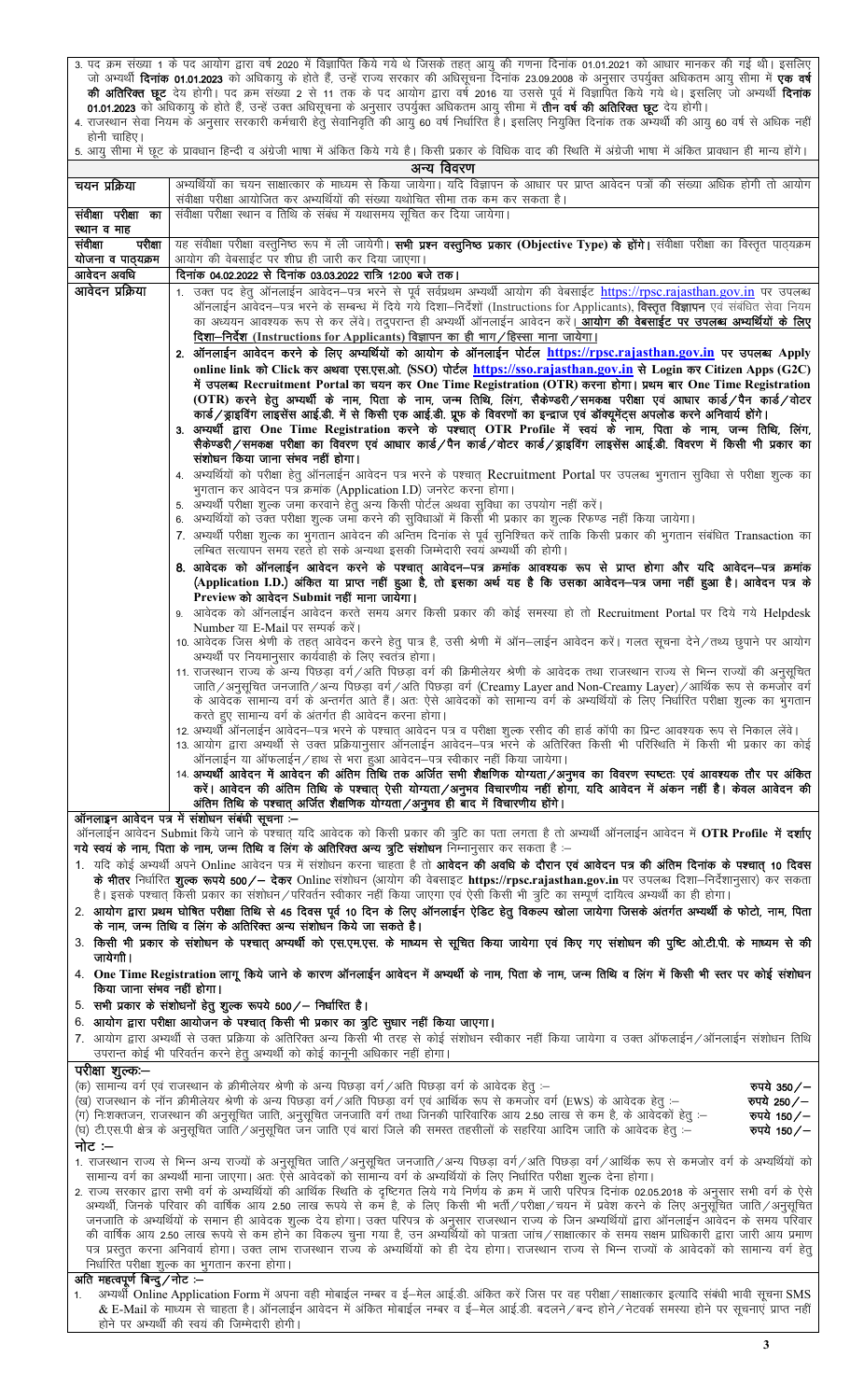3. पद क्रम संख्या 1 के पद आयोग द्वारा वर्ष 2020 में विज्ञापित किये गये थे जिसके तहत् आयु की गणना दिनांक 01.01.2021 को आधार मानकर की गई थी। इसलिए जो अभ्यर्थी **दिनांक 01.01.2023** को अधिकायु के होते हैं, उन्हें राज्य सरकार की अधिसूचना दिनांक 23.09.2008 के अनुसार उपर्युक्त अधिकतम आयु सीमा में **एक वर्ष की अतिरिक्त छूट** देय होगी। पद क्रम संख्या 2 से 11 तक के पद आयोग द्वारा वर्ष 2016 या उससे पूर्व में विज्ञापित किये गये थे। इसलिए जो अभ्यर्थी **दिनांक 01.01.2023** को अधिकायु के होते हैं, उन्हें उक्त अधिसूचना के अनुसार उपर्युक्त अधिकतम आयु सीमा में **तीन वर्ष की अतिरिक्त छूट** देय होगी। 4. राजस्थान सेवा नियम के अनुसार सरकारी कर्मचारी हेतु सेवानिवृति की आयु 60 वर्ष निर्धारित है। इसलिए नियुक्ति दिनांक तक अभ्यर्थी की आयु 60 वर्ष से अधिक नहीं

होनी चाहिए। 5. आयु सीमा में छूट के प्रावधान हिन्दी व अंग्रेजी भाषा में अंकित किये गये है। किसी प्रकार के विधिक वाद की रिथति में अंग्रेजी भाषा में अंकित प्रावधान ही मान्य होंगे।

| अन्य विवरण                                                                                                                                                                                                                                                                                                                                                                                                                                                           |                                                                                                                                                                                                                                                                                                                                                                                                                                                                                                                                                                                                                    |  |  |  |  |  |  |  |
|----------------------------------------------------------------------------------------------------------------------------------------------------------------------------------------------------------------------------------------------------------------------------------------------------------------------------------------------------------------------------------------------------------------------------------------------------------------------|--------------------------------------------------------------------------------------------------------------------------------------------------------------------------------------------------------------------------------------------------------------------------------------------------------------------------------------------------------------------------------------------------------------------------------------------------------------------------------------------------------------------------------------------------------------------------------------------------------------------|--|--|--|--|--|--|--|
| चयन प्रक्रिया                                                                                                                                                                                                                                                                                                                                                                                                                                                        | अभ्यर्थियों का चयन साक्षात्कार के माध्यम से किया जायेगा। यदि विज्ञापन के आधार पर प्राप्त आवेदन पत्रों की संख्या अधिक होगी तो आयोग<br>संवीक्षा परीक्षा आयोजित कर अभ्यर्थियों की संख्या यथोचित सीमा तक कम कर सकता है।                                                                                                                                                                                                                                                                                                                                                                                                |  |  |  |  |  |  |  |
| संवीक्षा परीक्षा का<br>स्थान व माह                                                                                                                                                                                                                                                                                                                                                                                                                                   | संवीक्षा परीक्षा स्थान व तिथि के संबंध में यथासमय सूचित कर दिया जायेगा।                                                                                                                                                                                                                                                                                                                                                                                                                                                                                                                                            |  |  |  |  |  |  |  |
| परीक्षा<br>संवीक्षा                                                                                                                                                                                                                                                                                                                                                                                                                                                  | यह संवीक्षा परीक्षा वस्तुनिष्ठ रूप में ली जायेगी। <b>सभी प्रश्न वस्तुनिष्ठ प्रकार (Objective Type) के होंगे।</b> संवीक्षा परीक्षा का विस्तृत पाठ्यक्रम                                                                                                                                                                                                                                                                                                                                                                                                                                                             |  |  |  |  |  |  |  |
| योजना व पाठ्यक्रम<br>आवेदन अवधि                                                                                                                                                                                                                                                                                                                                                                                                                                      | आयोग की वेबसाईट पर शीघ्र ही जारी कर दिया जाएगा।<br>दिनांक 04.02.2022 से दिनांक 03.03.2022 रात्रि 12:00 बजे तक।                                                                                                                                                                                                                                                                                                                                                                                                                                                                                                     |  |  |  |  |  |  |  |
| आवेदन प्रक्रिया                                                                                                                                                                                                                                                                                                                                                                                                                                                      | 1. उक्त पद हेतु ऑनलाईन आवेदन–पत्र भरने से पूर्व सर्वप्रथम अभ्यर्थी आयोग की वेबसाईट https://rpsc.rajasthan.gov.in पर उपलब्ध                                                                                                                                                                                                                                                                                                                                                                                                                                                                                         |  |  |  |  |  |  |  |
|                                                                                                                                                                                                                                                                                                                                                                                                                                                                      | ऑनलाईन आवेदन—पत्र भरने के सम्बन्ध में दिये गये दिशा—निर्देशों (Instructions for Applicants), <b>विस्तृत विज्ञापन</b> एवं संबंधित सेवा नियम                                                                                                                                                                                                                                                                                                                                                                                                                                                                         |  |  |  |  |  |  |  |
|                                                                                                                                                                                                                                                                                                                                                                                                                                                                      | का अध्ययन आवश्यक रूप से कर लेंवे। तदुपरान्त ही अभ्यर्थी ऑनलाईन आवेदन करें। <mark>आयोग की वेबसाईट पर उपलब्ध अभ्यर्थियों के लिए</mark>                                                                                                                                                                                                                                                                                                                                                                                                                                                                               |  |  |  |  |  |  |  |
|                                                                                                                                                                                                                                                                                                                                                                                                                                                                      | दिशा-निर्देश (Instructions for Applicants) विज्ञापन का ही भाग/हिस्सा माना जायेगा।                                                                                                                                                                                                                                                                                                                                                                                                                                                                                                                                  |  |  |  |  |  |  |  |
|                                                                                                                                                                                                                                                                                                                                                                                                                                                                      | 2. ऑनलाईन आवेदन करने के लिए अभ्यर्थियों को आयोग के ऑनलाईन पोर्टल https://rpsc.rajasthan.gov.in पर उपलब्ध Apply                                                                                                                                                                                                                                                                                                                                                                                                                                                                                                     |  |  |  |  |  |  |  |
|                                                                                                                                                                                                                                                                                                                                                                                                                                                                      | online link को Click कर अथवा एस.एस.ओ. (SSO) पोर्टल https://sso.rajasthan.gov.in से Login कर Citizen Apps (G2C)<br>में उपलब्ध Recruitment Portal का चयन कर One Time Registration (OTR) करना होगा। प्रथम बार One Time Registration<br>(OTR) करने हेतु अभ्यर्थी के नाम, पिता के नाम, जन्म तिथि, लिंग, सैकेण्डरी/समकक्ष परीक्षा एवं आधार कार्ड/पैन कार्ड/वोटर<br>कार्ड/ब्राइविंग लाइसेंस आई.डी. में से किसी एक आई.डी. प्रूफ के विवरणों का इन्द्राज एवं डॉक्यूमेंट्स अपलोड करने अनिवार्य होंगे।<br>3. अभ्यर्थी द्वारा One Time Registration करने के पश्चात् OTR Profile में स्वयं के नाम, पिता के नाम, जन्म तिथि, लिंग, |  |  |  |  |  |  |  |
|                                                                                                                                                                                                                                                                                                                                                                                                                                                                      | सैकेण्डरी∕समकक्ष परीक्षा का विवरण एवं आधार कार्ड∕पैन कार्ड∕वोटर कार्ड∕ड्राइविंग लाइसेंस आई.डी. विवरण में किसी भी प्रकार का<br>संशोधन किया जाना संभव नहीं होगा।                                                                                                                                                                                                                                                                                                                                                                                                                                                     |  |  |  |  |  |  |  |
|                                                                                                                                                                                                                                                                                                                                                                                                                                                                      | 4. अभ्यर्थियों को परीक्षा हेतु ऑनलाईन आवेदन पत्र भरने के पश्चात् Recruitment Portal पर उपलब्ध भुगतान सुविधा से परीक्षा शुल्क का<br>भुगतान कर आवेदन पत्र क्रमांक (Application I.D) जनरेट करना होगा।                                                                                                                                                                                                                                                                                                                                                                                                                 |  |  |  |  |  |  |  |
|                                                                                                                                                                                                                                                                                                                                                                                                                                                                      | 5. अभ्यर्थी परीक्षा शुल्क जमा करवाने हेतु अन्य किसी पोर्टल अथवा सुविधा का उपयोग नहीं करें।<br>6. अभ्यर्थियों को उक्त परीक्षा शुल्क जमा करने की सुविधाओं में किसी भी प्रकार का शुल्क रिफण्ड नहीं किया जायेगा।                                                                                                                                                                                                                                                                                                                                                                                                       |  |  |  |  |  |  |  |
|                                                                                                                                                                                                                                                                                                                                                                                                                                                                      | 7. अभ्यर्थी परीक्षा शुल्क का भुगतान आवेदन की अन्तिम दिनांक से पूर्व सुनिश्चित करें ताकि किसी प्रकार की भुगतान संबंधित Transaction का                                                                                                                                                                                                                                                                                                                                                                                                                                                                               |  |  |  |  |  |  |  |
|                                                                                                                                                                                                                                                                                                                                                                                                                                                                      | लम्बित सत्यापन समय रहते हो सके अन्यथा इसकी जिम्मेदारी स्वयं अभ्यर्थी की होगी।                                                                                                                                                                                                                                                                                                                                                                                                                                                                                                                                      |  |  |  |  |  |  |  |
|                                                                                                                                                                                                                                                                                                                                                                                                                                                                      | 8. आवेदक को ऑनलाईन आवेदन करने के पश्चात् आवेदन—पत्र क्रमांक आवश्यक रूप से प्राप्त होगा और यदि आवेदन—पत्र क्रमांक<br>(Application I.D.) अंकित या प्राप्त नहीं हुआ है, तो इसका अर्थ यह है कि उसका आवेदन—पत्र जमा नहीं हुआ है। आवेदन पत्र के<br>Preview को आवेदन Submit नहीं माना जायेगा।                                                                                                                                                                                                                                                                                                                             |  |  |  |  |  |  |  |
|                                                                                                                                                                                                                                                                                                                                                                                                                                                                      | 9. आवेदक को ऑनलाईन आवेदन करते समय अगर किसी प्रकार की कोई समस्या हो तो Recruitment Portal पर दिये गये Helpdesk<br>Number या E-Mail पर सम्पर्क करें।                                                                                                                                                                                                                                                                                                                                                                                                                                                                 |  |  |  |  |  |  |  |
|                                                                                                                                                                                                                                                                                                                                                                                                                                                                      | 10. आवेदक जिस श्रेणी के तहत् आवेदन करने हेतु पात्र है, उसी श्रेणी में ऑन–लाईन आवेदन करें। गलत सूचना देने/तथ्य छुपाने पर आयोग<br>अभ्यर्थी पर नियमानुसार कार्यवाही के लिए स्वतंत्र होगा।                                                                                                                                                                                                                                                                                                                                                                                                                             |  |  |  |  |  |  |  |
|                                                                                                                                                                                                                                                                                                                                                                                                                                                                      | 11. राजस्थान राज्य के अन्य पिछड़ा वर्ग/अति पिछड़ा वर्ग की क्रिमीलेयर श्रेणी के आवेदक तथा राजस्थान राज्य से भिन्न राज्यों की अनुसूचित<br>जाति∕अनुसूचित जनजाति∕अन्य पिछड़ा वर्ग∕अति पिछड़ा वर्ग (Creamy Layer and Non-Creamy Layer)∕आर्थिक रूप से कमजोर वर्ग<br>के आवेदक सामान्य वर्ग के अन्तर्गत आते हैं। अतः ऐसे आवेदकों को सामान्य वर्ग के अभ्यर्थियों के लिए निर्धारित परीक्षा शुल्क का भुगतान                                                                                                                                                                                                                   |  |  |  |  |  |  |  |
|                                                                                                                                                                                                                                                                                                                                                                                                                                                                      | करते हुए सामान्य वर्ग के अंतर्गत ही आवेदन करना होगा।<br>12. अभ्यर्थी ऑनलाईन आवेदन–पत्र भरने के पश्चात् आवेदन पत्र व परीक्षा शुल्क रसीद की हार्ड कॉपी का प्रिन्ट आवश्यक रूप से निकाल लेंवे।<br>13. आयोग द्वारा अभ्यर्थी से उक्त प्रक्रियानुसार ऑनलाईन आवेदन–पत्र भरने के अतिरिक्त किसी भी परिस्थिति में किसी भी प्रकार का कोई                                                                                                                                                                                                                                                                                       |  |  |  |  |  |  |  |
|                                                                                                                                                                                                                                                                                                                                                                                                                                                                      | ऑनलाईन या ऑफलाईन / हाथ से भरा हुआ आवेदन–पत्र स्वीकार नहीं किया जायेगा।                                                                                                                                                                                                                                                                                                                                                                                                                                                                                                                                             |  |  |  |  |  |  |  |
|                                                                                                                                                                                                                                                                                                                                                                                                                                                                      | 14. अभ्यर्थी आवेदन में आवेदन की अंतिम तिथि तक अर्जित सभी शैक्षणिक योग्यता/अनुभव का विवरण स्पष्टतः एवं आवश्यक तौर पर अंकित                                                                                                                                                                                                                                                                                                                                                                                                                                                                                          |  |  |  |  |  |  |  |
|                                                                                                                                                                                                                                                                                                                                                                                                                                                                      | करें। आवेदन की अंतिम तिथि के पश्चात् ऐसी योग्यता/अनुभव विचारणीय नहीं होगा, यदि आवेदन में अंकन नहीं है। केवल आवेदन की<br>अंतिम तिथि के पश्चात् अर्जित शैक्षणिक योग्यता/अनुभव ही बाद में विचारणीय होंगे।                                                                                                                                                                                                                                                                                                                                                                                                             |  |  |  |  |  |  |  |
|                                                                                                                                                                                                                                                                                                                                                                                                                                                                      | ऑनलाइन आवेदन पत्र में संशोधन संबंधी सूचना :-<br>ऑनलाईन आवेदन Submit किये जाने के पश्चात् यदि आवेदक को किसी प्रकार की त्रुटि का पता लगता है तो अभ्यर्थी ऑनलाईन आवेदन में <b>OTR Profile में दर्शाए</b>                                                                                                                                                                                                                                                                                                                                                                                                              |  |  |  |  |  |  |  |
|                                                                                                                                                                                                                                                                                                                                                                                                                                                                      | गये स्वयं के नाम, पिता के नाम, जन्म तिथि व लिंग के अतिरिक्त अन्य त्रुटि संशोधन निम्नानुसार कर सकता है :-                                                                                                                                                                                                                                                                                                                                                                                                                                                                                                           |  |  |  |  |  |  |  |
|                                                                                                                                                                                                                                                                                                                                                                                                                                                                      | 1. यदि कोई अभ्यर्थी अपने Online आवेदन पत्र में संशोधन करना चाहता है तो <b>आवेदन की अवधि के दौरान एवं आवेदन पत्र की अंतिम दिनांक के पश्चात् 10 दिवस</b><br><b>के भीतर</b> निर्धारित <b>शुल्क रूपये 500/— देकर</b> Online संशोधन (आयोग की वेबसाइट <b>https://rpsc.rajasthan.gov.in</b> पर उपलब्ध दिशा—निर्देशानुसार) कर सकता                                                                                                                                                                                                                                                                                         |  |  |  |  |  |  |  |
| है। इसके पश्चात् किसी प्रकार का संशोधन/परिवर्तन स्वीकार नहीं किया जाएगा एवं ऐसी किसी भी त्रुटि का सम्पूर्ण दायित्व अभ्यर्थी का ही होगा।<br>2. आयोग द्वारा प्रथम घोषित परीक्षा तिथि से 45 दिवस पूर्व 10 दिन के लिए ऑनलाईन ऐडिट हेतु विकल्प खोला जायेगा जिसके अंतर्गत अभ्यर्थी के फोटो, नाम, पिता                                                                                                                                                                      |                                                                                                                                                                                                                                                                                                                                                                                                                                                                                                                                                                                                                    |  |  |  |  |  |  |  |
| के नाम, जन्म तिथि व लिंग के अतिरिक्त अन्य संशोधन किये जा सकते है।<br>3. किसी भी प्रकार के संशोधन के पश्चात् अभ्यर्थी को एस.एम.एस. के माध्यम से सूचित किया जायेगा एवं किए गए संशोधन की पुष्टि ओ.टी.पी. के माध्यम से की                                                                                                                                                                                                                                                |                                                                                                                                                                                                                                                                                                                                                                                                                                                                                                                                                                                                                    |  |  |  |  |  |  |  |
| जायेगी।<br>4. One Time Registration लागू किये जाने के कारण ऑनलाईन आवेदन में अभ्यर्थी के नाम, पिता के नाम, जन्म तिथि व लिंग में किसी भी स्तर पर कोई संशोधन                                                                                                                                                                                                                                                                                                            |                                                                                                                                                                                                                                                                                                                                                                                                                                                                                                                                                                                                                    |  |  |  |  |  |  |  |
| किया जाना संभव नहीं होगा।                                                                                                                                                                                                                                                                                                                                                                                                                                            |                                                                                                                                                                                                                                                                                                                                                                                                                                                                                                                                                                                                                    |  |  |  |  |  |  |  |
|                                                                                                                                                                                                                                                                                                                                                                                                                                                                      | 5. सभी प्रकार के संशोधनों हेतु शुल्क रूपये 500/ – निर्धारित है।                                                                                                                                                                                                                                                                                                                                                                                                                                                                                                                                                    |  |  |  |  |  |  |  |
|                                                                                                                                                                                                                                                                                                                                                                                                                                                                      | 6. आयोग द्वारा परीक्षा आयोजन के पश्चात् किसी भी प्रकार का त्रुटि सुधार नहीं किया जाएगा।                                                                                                                                                                                                                                                                                                                                                                                                                                                                                                                            |  |  |  |  |  |  |  |
|                                                                                                                                                                                                                                                                                                                                                                                                                                                                      | 7. आयोग द्वारा अभ्यर्थी से उक्त प्रक्रिया के अतिरिक्त अन्य किसी भी तरह से कोई संशोधन स्वीकार नहीं किया जायेगा व उक्त ऑफलाईन/ऑनलाईन संशोधन तिथि                                                                                                                                                                                                                                                                                                                                                                                                                                                                     |  |  |  |  |  |  |  |
| परीक्षा शुल्कः—                                                                                                                                                                                                                                                                                                                                                                                                                                                      | उपरान्त कोई भी परिवर्तन करने हेतु अभ्यर्थी को कोई कानूनी अधिकार नहीं होगा।                                                                                                                                                                                                                                                                                                                                                                                                                                                                                                                                         |  |  |  |  |  |  |  |
|                                                                                                                                                                                                                                                                                                                                                                                                                                                                      | –: (क) सामान्य वर्ग एवं राजस्थान के क्रीमीलेयर श्रेणी के अन्य पिछड़ा वर्ग/अति पिछड़ा वर्ग के आवेदक हेतु<br>रुपये 350/ $-$                                                                                                                                                                                                                                                                                                                                                                                                                                                                                          |  |  |  |  |  |  |  |
|                                                                                                                                                                                                                                                                                                                                                                                                                                                                      | (ख) राजस्थान के नॉन क्रीमीलेयर श्रेणी के अन्य पिछड़ा वर्ग/अति पिछड़ा वर्ग एवं आर्थिक रूप से कमजोर वर्ग (EWS) के आवेदक हेतु :–<br>रुपये 250/-                                                                                                                                                                                                                                                                                                                                                                                                                                                                       |  |  |  |  |  |  |  |
|                                                                                                                                                                                                                                                                                                                                                                                                                                                                      | (ग) निःशक्तजन, राजस्थान की अनुसूचित जाति, अनुसूचित जनजाति वर्ग तथा जिनकी पारिवारिक आय 2.50 लाख से कम है, के आवेदकों हेतु :—<br>रुपये 150/-                                                                                                                                                                                                                                                                                                                                                                                                                                                                         |  |  |  |  |  |  |  |
|                                                                                                                                                                                                                                                                                                                                                                                                                                                                      | (घ) टी.एस.पी क्षेत्र के अनुसूचित जाति∕अनुसूचित जन जाति एवं बारां जिले की समस्त तहसीलों के सहरिया आदिम जाति के आवेदक हेतु :—<br>रुपये 150/ $-$                                                                                                                                                                                                                                                                                                                                                                                                                                                                      |  |  |  |  |  |  |  |
| नोट :–                                                                                                                                                                                                                                                                                                                                                                                                                                                               | 1. राजस्थान राज्य से भिन्न अन्य राज्यों के अनुसूचित जाति/अनुसूचित जनजाति/अन्य पिछड़ा वर्ग/अति पिछड़ा वर्ग/आर्थिक रूप से कमजोर वर्ग के अभ्यर्थियों को                                                                                                                                                                                                                                                                                                                                                                                                                                                               |  |  |  |  |  |  |  |
|                                                                                                                                                                                                                                                                                                                                                                                                                                                                      | सामान्य वर्ग का अभ्यर्थी माना जाएगा। अतः ऐसे आवेदकों को सामान्य वर्ग के अभ्यर्थियों के लिए निर्धारित परीक्षा शुल्क देना होगा।                                                                                                                                                                                                                                                                                                                                                                                                                                                                                      |  |  |  |  |  |  |  |
| 2. राज्य सरकार द्वारा सभी वर्ग के अभ्यर्थियों की आर्थिक स्थिति के दृष्टिगत लिये गये निर्णय के क्रम में जारी परिपत्र दिनांक 02.05.2018 के अनुसार सभी वर्ग के ऐसे<br>अभ्यर्थी, जिनके परिवार की वार्षिक आय 2.50 लाख रूपये से कम है, के लिए किसी भी भर्ती/परीक्षा/चयन में प्रवेश करने के लिए अनुसूचित जाति/अनुसूचित<br>जनजाति के अभ्यर्थियों के समान ही आवेदक शुल्क देय होगा। उक्त परिपत्र के अनुसार राजस्थान राज्य के जिन अभ्यर्थियों द्वारा ऑनलाईन आवेदन के समय परिवार |                                                                                                                                                                                                                                                                                                                                                                                                                                                                                                                                                                                                                    |  |  |  |  |  |  |  |
|                                                                                                                                                                                                                                                                                                                                                                                                                                                                      | की वार्षिक आय 2.50 लाख रूपये से कम होने का विकल्प चुना गया है, उन अभ्यर्थियों को पात्रता जांच/साक्षात्कार के समय सक्षम प्राधिकारी द्वारा जारी आय प्रमाण                                                                                                                                                                                                                                                                                                                                                                                                                                                            |  |  |  |  |  |  |  |
|                                                                                                                                                                                                                                                                                                                                                                                                                                                                      | पत्र प्रस्तुत करना अनिवार्य होगा। उक्त लाभ राजस्थान राज्य के अभ्यर्थियों को ही देय होगा। राजस्थान राज्य से भिन्न राज्यों के आवेदकों को सामान्य वर्ग हेतु                                                                                                                                                                                                                                                                                                                                                                                                                                                           |  |  |  |  |  |  |  |
|                                                                                                                                                                                                                                                                                                                                                                                                                                                                      | निर्धारित परीक्षा शुल्क का भुगतान करना होगा।                                                                                                                                                                                                                                                                                                                                                                                                                                                                                                                                                                       |  |  |  |  |  |  |  |
| अति महत्वपूर्ण बिन्दु/नोट :--                                                                                                                                                                                                                                                                                                                                                                                                                                        | अभ्यर्थी Online Application Form में अपना वही मोबाईल नम्बर व ई−मेल आई.डी. अंकित करें जिस पर वह परीक्षा ∕साक्षात्कार इत्यादि संबंधी भावी सूचना SMS                                                                                                                                                                                                                                                                                                                                                                                                                                                                  |  |  |  |  |  |  |  |
| 1.                                                                                                                                                                                                                                                                                                                                                                                                                                                                   | & E-Mail के माध्यम से चाहता है। ऑनलाईन आवेदन में अंकित मोबाईल नम्बर व ई—मेल आई.डी. बदलने∕बन्द होने∕नेटवर्क समस्या होने पर सूचनाएं प्राप्त नहीं<br>होने पर अभ्यर्थी की स्वयं की जिम्मेदारी होगी।                                                                                                                                                                                                                                                                                                                                                                                                                    |  |  |  |  |  |  |  |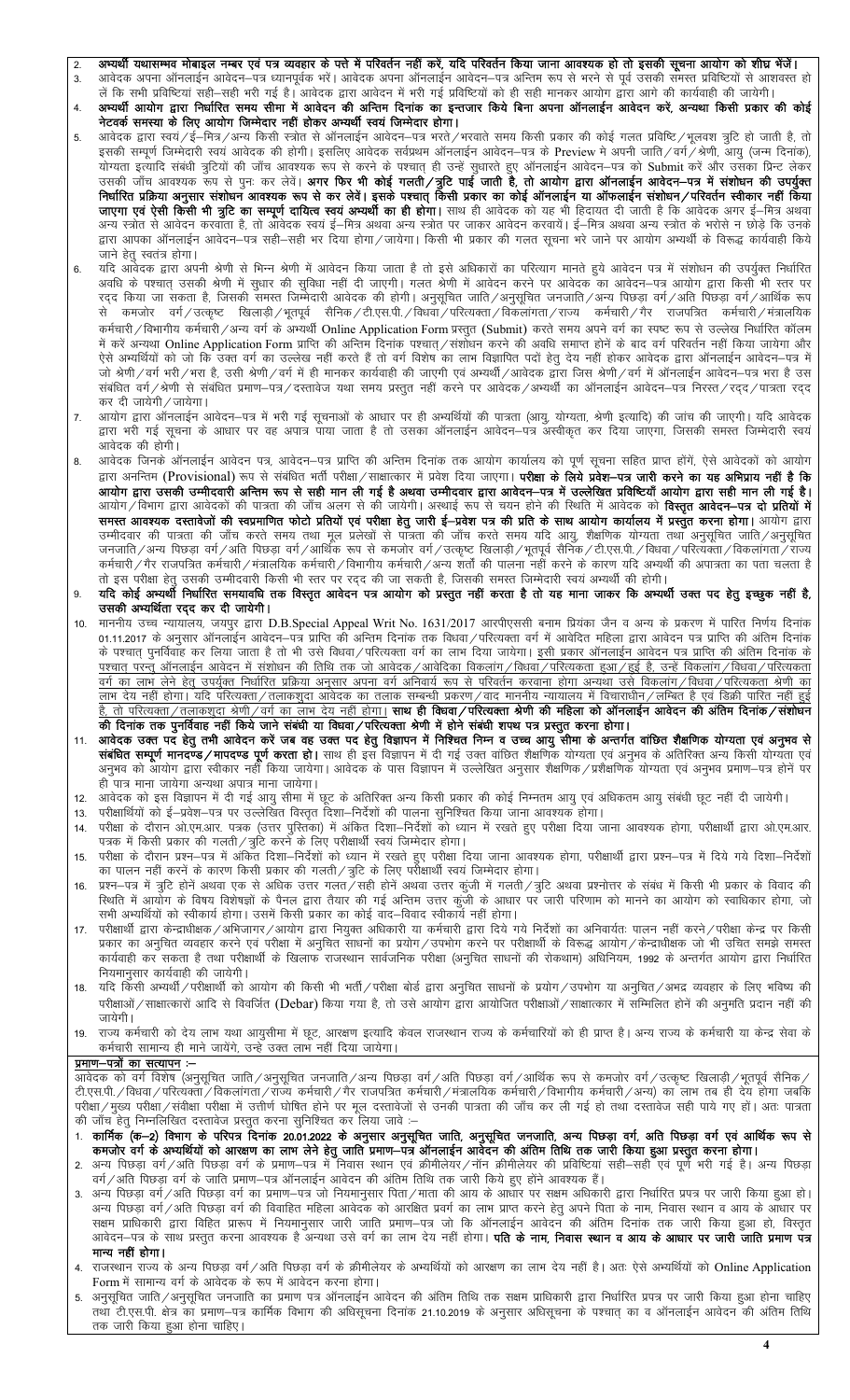- अभ्यर्थी यथासम्भव मोबाइल नम्बर एवं पत्र व्यवहार के पत्ते में परिवर्तन नहीं करें, यदि परिवर्तन किया जाना आवश्यक हो तो इसकी सूचना आयोग को शीघ्र भेंजें।  $\mathfrak{p}$
- आवेदक अपना ऑनलाईन आवेदन–पत्र ध्यानपूर्वक भरें। आवेदक अपना ऑनलाईन आवेदन–पत्र अन्तिम रूप से भरने से पूर्व उसकी समस्त प्रविष्टियों से आशवस्त हो  $\overline{3}$ . लें कि सभी प्रविष्टियां सही—सही भरी गई है। आवेदक द्वारा आवेदन में भरी गई प्रविष्टियों को ही सही मानकर आयोग द्वारा आगे की कार्यवाही की जायेगी।
- अभ्यर्थी आयोग द्वारा निर्धारित समय सीमा में आवेदन की अन्तिम दिनांक का इन्तजार किये बिना अपना ऑनलाईन आवेदन करें, अन्यथा किसी प्रकार की कोई  $\overline{4}$ .<br>नेटवर्क समस्या के लिए आयोग जिम्मेदार नहीं होकर अभ्यर्थी स्वयं जिम्मेदार होगा।
- आवेदक द्वारा स्वयं /ई—मित्र /अन्य किसी स्त्रोत से ऑनलाईन आवेदन—पत्र भरते /भरवाते समय किसी प्रकार की कोई गलत प्रविष्टि /भलवश त्रुटि हो जाती है, तो 5. वाचता इत्याद सबना कुटवा का जाव आवश्यक रूप से करने के बरवात है। उन्हें सुनारत हुए आनलाईन आवशन-पत्र का अवशासिक आर<br>उसकी जाँच आवश्यक रूप से पुनः कर लेवें। **अगर फिर भी कोई गलती /त्रुटि पाई जाती है, तो आयोग द्वारा ऑनलाईन आवेदन-**जाएगा एवं ऐसी किसी भी त्रूटि का सम्पूर्ण दायित्व स्वयं अभ्यर्थी का ही होगा। साथ ही आवेदक को यह भी हिदायत दी जाती है कि आवेदक अगर ई-मित्र अथवा अन्य स्त्रोत से आवेदन करवाता है, तो आवेदक स्वयं ई–मित्र अथवा अन्य स्त्रोत पर जाकर आवेदन करवायें। ई–मित्र अथवा अन्य स्त्रोत के भरोसे न छोड़े कि उनके द्वारा आपका ऑनलाईन आवेदन—पत्र सही—सही भर दिया होगा / जायेगा। किसी भी प्रकार की गलत सूचना भरे जाने पर आयोग अभ्यर्थी के विरूद्ध कार्यवाही किये जाने हेतु स्वतंत्र होगा।
- 6. रद्द किया जा सकता है, जिसकी समस्त जिम्मेदारी आवेदक की होगी। अनुसूचित जाति/अनुसूचित जनजाति/अन्य पिछड़ा वर्ग/अति पिछड़ा वर्ग/आर्थिक रूप से कमजोर वर्ग /उत्कृष्ट खिलाड़ी /भूतपूर्व सैनिक /टी.एस.पी. /विधवा /परित्यक्ता /विकलांगता /राज्य कर्मचारी /गैर राजपत्रित कर्मचारी /मंत्रालयिक कर्मचारी / विभागीय कर्मचारी / अन्य वर्ग के अभ्यर्थी Online Application Form प्रस्तुत (Submit) करते समय अपने वर्ग का स्पष्ट रूप से उल्लेख निर्धारित कॉलम में करें अन्यथा Online Application Form प्राप्ति की अन्तिम दिनांक पश्चात्/संशोधन करने की अवधि समाप्त होनें के बाद वर्ग परिवर्तन नहीं किया जायेगा और न पर जन्मना आमार Application Form जा सा आ है। सा मान समार समार समार कर समय में मान है।<br>ऐसे अभ्यर्थियों को जो कि उक्त वर्ग का उल्लेख नहीं करते हैं तो वर्ग विशेष का लाभ विज्ञापित पदों हेतु देय नहीं होकर आवेदक द्वारा ऑनलाईन जो श्रेणी/वर्ग भरी/भरा है, उसी श्रेणी/वर्ग में ही मानकर कार्यवाही की जाएगी एवं अभ्यर्थी/आवेदक द्वारा जिस श्रेणी/वर्ग में ऑनलाईन आवेदन–पत्र भरा है उस संबंधित वर्ग∕श्रेणी से संबंधित प्रमाण−पत्र∕दस्तावेज यथा समय प्रस्तुत नहीं करने पर आवेदक∕अभ्यर्थी का ऑनलाईन आवेदन−पत्र निरस्त∕रदद∕पात्रता रदद कर दी जायेगी ∕ जायेगा।
- $\overline{7}$ . आयोग द्वारा ऑनलाईन आवेदन–पत्र में भरी गई सूचनाओं के आधार पर ही अभ्यर्थियों की पात्रता (आयू, योग्यता, श्रेणी इत्यादि) की जांच की जाएगी। यदि आवेदक द्वारा भरी गई सूचना के आधार पर वह अपात्र पाया जाता है तो उसका ऑनलाईन आवेदन–पत्र अस्वीकृत कर दिया जाएगा, जिसकी समस्त जिम्मेदारी स्वयं आवेदक की होगी।
- आवेदक जिनके ऑनलाईन आवेदन पत्र, आवेदन–पत्र प्राप्ति की अन्तिम दिनांक तक आयोग कार्यालय को पूर्ण सूचना सहित प्राप्त होंगें, ऐसे आवेदकों को आयोग 8. द्वारा अनन्तिम (Provisional) रूप से संबंधित भर्ती परीक्षा ⁄ साक्षात्कार में प्रवेश दिया जाएगा। **परीक्षा के लिये प्रवेश—पत्र जारी करने का यह अभिप्राय नहीं है कि** आयोग द्वारा उसकी उम्मीदवारी अन्तिम रूप से सही मान ली गई है अथवा उम्मीदवार द्वारा आवेदन—पत्र में उल्लेखित प्रविष्टियाँ आयोग द्वारा सही मान ली गई है। आयोग ∕ विभाग द्वारा आवेदकों की पात्रता की जाँच अलग से की जायेगी। अस्थाई रूप से चयन होने की स्थिति में आवेदक को **विस्तृत आवेदन—पत्र दो प्रतियों में** समस्त आवश्यक दस्तावेजों की स्वप्रमाणित फोटो प्रतियों एवं परीक्षा हेतु जारी ई-प्रवेश पत्र की प्रति के साथ आयोग कार्यालय में प्रस्तुत करना होगा। आयोग द्वारा जनजाति/अन्य पिछड़ा वर्ग/अति पिछड़ा वर्ग/आर्थिक रूप से कमजोर वर्ग/उत्कृष्ट खिलाड़ी/भूतपूर्व सैनिक/टी.एस.पी./विधवा/परित्यक्ता/विकलांगता/राज्य कर्मचारी∕गैर राजपत्रित कर्मचारी∕मंत्रालयिक कर्मचारी∕विभागीय कर्मचारी∕अन्य शर्तों की पालना नहीं करने के कारण यदि अभ्यर्थी की अपात्रता का पता चलता है
- ने इस परीक्षा हेतु उसकी उम्मीदवारी किसी भी स्तर पर रदद की जा सकती है, जिसकी समस्त जिम्मेदारी स्वयं अभ्यर्थी की होगी।<br>तो इस परीक्षा हेतु उसकी उम्मीदवारी किसी भी स्तर पर रदद की जा सकती है, जिसकी समस्त जिम्मेदारी स्वयं अभ्यर 9. उसकी अभ्यर्थिता रद्द कर दी जायेगी।
- माननीय उच्च न्यायालय, जयपुर द्वारा D.B.Special Appeal Writ No. 1631/2017 आरपीएससी बनाम प्रियंका जैन व अन्य के प्रकरण में पारित निर्णय दिनांक<br>01.11.2017 के अनुसार ऑनलाईन आवेदन–पत्र प्राप्ति की अन्तिम दिनांक तक विधवा /परित्  $10<sub>1</sub>$ के पश्चात् पुनर्विवाह कर लिया जाता है तो भी उसे विधवा/परित्यक्ता वर्ग का लाभ दिया जायेगा। <u>इसी प्रकार ऑनलाईन आवेदन पत्र प्राप्ति की अंतिम दिनांक के</u> <u>पश्चात् परन्तु ऑनलाईन आवेदन में संशोधन की तिथि तक जो आवेदक/आवेदिका विकलांग/विधवा/परित्यकता हुआ/हुई है, उन्हें विकलांग/विधवा/परित्यकता</u> वर्ग का लाग लेने हेतु उपर्युक्त निर्धारित प्रक्रिया अनुसार अपना वर्ग अनिवार्य रूप से परिवर्तन करवाना ओगा अन्यथा उसे विकलांग/विधवा/परित्यकता श्रेणी का तो परित्यक्ता / तलाकशदा श्रेणी /वर्ग का लाभ देय नहीं होगा। **साथ ही विधवा / परित्यक्ता श्रेणी की महिला को ऑनलाईन आवेदन की अंतिम दिनांक / संशोधन** की दिनांक तक पुनर्विवाह नहीं किये जाने संबंधी या विधवा /परित्यक्ता श्रेणी में होने संबंधी शपथ पत्र प्रस्तुत करना होगा।
- आवेदक उक्त पद हेतु तभी आवेदन करें जब वह उक्त पद हेतु विज्ञापन में निश्चित निम्न व उच्च आयु सीमा के अन्तर्गत वांछित शैक्षणिक योग्यता एवं अनुभव से  $11$ संबंधित सम्पूर्ण मानदण्ड/मापदण्ड पूर्ण करता हो। साथ ही इस विज्ञापन में दी गई उक्त वाछित शैक्षणिक योग्यता एवं अनुभव के अतिरिक्त अन्य किसी योग्यता एवं .<br>अनुभव को आयोग द्वारा स्वीकार नहीं किया जायेगा। आवेदक के पास विज्ञापन में उल्लेखित अनुसार शैक्षणिक/प्रशैक्षणिक योग्यता एवं अनुभव प्रमाण–पत्र होनें पर हीँ पात्र माना जायेगा अन्यथा अपात्र माना जायेगा।
- आवेदक को इस विज्ञापन में दी गई आयु सीमा में छूट के अतिरिक्त अन्य किसी प्रकार की कोई निम्नतम आयु एवं अधिकतम आयु संबंधी छूट नहीं दी जायेगी।  $12<sup>12</sup>$
- परीक्षार्थियों को ई–प्रवेश–पत्र पर उल्लेखित विस्तृत दिशा–निर्देशों की पालना सुनिश्चित किया जाना आवश्यक होगा।  $13.$
- परीक्षा के दौरान ओ.एम.आर. पत्रक (उत्तर पुस्तिका) में अंकित दिशा—निर्देशों को ध्यान में रखते हुए परीक्षा दिया जाना आवश्यक होगा, परीक्षार्थी द्वारा ओ.एम.आर.  $14.$ पत्रक में किसी प्रकार की गलती/त्रूटि करने के लिए परीक्षार्थी स्वयं जिम्मेदार होगा।
- परीक्षा के दौरान प्रश्न-पत्र में अंकित दिशा-निर्देशों को ध्यान में रखते हुए परीक्षा दिया जाना आवश्यक होगा, परीक्षार्थी द्वारा प्रश्न-पत्र में दिये गये दिशा-निर्देशों<br>का पालन नहीं करने के कारण किसी प्रकार की गलती ⁄त्रुटि क  $15<sub>1</sub>$
- प्रश्न–पत्र में त्रुटि होनें अथवा एक से अधिक उत्तर गलत∕सही होनें अथवा उत्तर कुंजी में गलती∕त्रुटि अथवा प्रश्नोत्तर के संबंध में किसी भी प्रकार के विवाद की 16. .<br>स्थिति में आयोग के विषय विशेषज्ञों के पैनल द्वारा तैयार की गई अन्तिम उत्तर कुंजी के आधार पर जारी परिणाम को मानने का आयोग को स्वाधिकार होगा, जो सभी अभ्यर्थियों को स्वीकार्य होगा। उसमें किसी प्रकार का कोई वाद–विवाद स्वीकार्य नहीं होगा।
- परीक्षार्थी द्वारा केन्द्राधीक्षक /अभिजागर /आयोग द्वारा नियुक्त अधिकारी या कर्मचारी द्वारा दिये गये निर्देशों का अनिवार्यतः पालन नहीं करने /परीक्षा केन्द्र पर किसी  $17.$ प्रकार का अनुचित व्यवहार करने एवं परीक्षा में अनुचित साधनों का प्रयोग ⁄ उपभोग करने पर परीक्षार्थी के विरूद्ध आयोग ∕ केन्द्राधीक्षक जो भी उचित समझे समस्त कार्यवाही कर सकता है तथा परीक्षार्थी के खिलाफ राजस्थान सार्वजनिक परीक्षा (अनुचित साधनों की रोकथाम) अधिनियम, 1992 के अन्तर्गत आयोग द्वारा निर्धारित नियमानसार कार्यवाही की जायेगी।
- यदि किसी अभ्यर्थी/परीक्षार्थी को आयोग की किसी भी भर्ती/परीक्षा बोर्ड द्वारा अनुचित साधनों के प्रयोग/उपभोग या अनुचित/अभद्र व्यवहार के लिए भविष्य की 18. परीक्षाओं / साक्षात्कारों आदि से विवर्जित (Debar) किया गया है, तो उसे आयोग द्वारा आयोजित परीक्षाओं / साक्षात्कार में सम्मिलित होनें की अनुमति प्रदान नहीं की जायेगी।
- राज्य कर्मचारी को देय लाभ यथा आयुसीमा में छूट, आरक्षण इत्यादि केवल राजस्थान राज्य के कर्मचारियों को ही प्राप्त है। अन्य राज्य के कर्मचारी या केन्द्र सेवा के 19 कर्मचारी सामान्य ही माने जायेंगे, उन्हें उक्त लाभें नहीं दिया जायेगा।

## प्रमाण-पत्रों का सत्यापन :-

आवेदक को वर्ग विशेष (अनुसूचित जाति /अनुसूचित जनजाति /अन्य पिछड़ा वर्ग /अति पिछड़ा वर्ग /आर्थिक रूप से कमजोर वर्ग /उत्कृष्ट खिलाड़ी /भूतपूर्व सैनिक टी.एस.पी. / विधवा / परित्येक्ता / विकलांगता / राज्य कर्मचारी / गेर राजपत्रित कर्मचारी / मंत्रालयिक कर्मचारी / बर्मचारी / अन्य) का लाभ तब ही देय होगा जबकि परीक्षा/मुख्य परीक्षा/संवीक्षा परीक्षा में उत्तीर्ण घोषित होने पर मूल दस्तावेजों से उनकी पात्रता की जाँच कर ली गई हो तथा दस्तावेज सही पाये गए हों। अतः पात्रता की जाँच हेतु निम्नलिखित दस्तावेज प्रस्तुत करना सुनिश्चित कर लिया जावे :-

- 
- 2. अन्य पिछड़ा वर्ग/अति पिछड़ा वर्ग के प्रमाण–पत्र में निवास स्थान एवं क्रीमीलेयर/नॉन क्रीमीलेयर की प्रविष्टियां सही–सही एवं पूर्ण भरी गई है। अन्य पिछड़ा<br>वर्ग/अति पिछड़ा वर्ग के जाति प्रमाण–पत्र ऑनलाईन आवेदन की अंतिम तिथि
- 3. अन्य पिछड़ा वर्ग/अति पिछड़ा वर्ग का प्रमाण–पत्र जो नियमानुसार पिता/माता की आय के आधार पर सक्षम अधिकारी द्वारा निर्धारित प्रपत्र पर जारी किया हुआ हो। अन्य पिछड़ा वर्ग/अति पिछड़ा वर्ग की विवाहित महिला आवेदक को आरक्षित प्रवर्ग का लाभ प्राप्त करने हेतु अपने पिता के नाम, निवास स्थान व आय के आधार पर सक्षम प्राधिकारी द्वारा विहित प्रारूप में नियमानुसार जारी जाति प्रमाण–पत्र जो कि ऑनलाईन आवेदन की अंतिम दिनांक तक जारी किया हुआ हो, विस्तृत आवेदन–पत्र के साथ प्रस्तुत करना आवश्यक है अन्यथा उसे वर्ग का लाभ देय नहीं होगा। **पति के नाम, निवास स्थान व आय के आधार पर जारी जाति प्रमाण पत्र** मान्य नहीं होगा।
- राजस्थान राज्य के अन्य पिछड़ा वर्ग/अति पिछड़ा वर्ग के क्रीमीलेयर के अभ्यर्थियों को आरक्षण का लाभ देय नहीं है। अतः ऐसे अभ्यर्थियों को Online Application  $\overline{4}$ Form में सामान्य वर्ग के आवेदक के रूप में आवेदन करना होगा।
- अनुसूचित जाति/अनुसूचित जनजाति का प्रमाण पत्र ऑनलाईन आवेदन की अंतिम तिथि तक सक्षम प्राधिकारी द्वारा निर्धारित प्रपत्र पर जारी किया हुआ होना चाहिए तथा टी.एस.पी. क्षेत्र का प्रमाण–पत्र कार्मिक विभाग की अधिसूचना दिनांक 21.10.2019 के अनुसार अधिसूचना के पश्चात का व ऑनलाईन आवेदन की अंतिम तिथि तक जारी किया हुआ होना चाहिए।